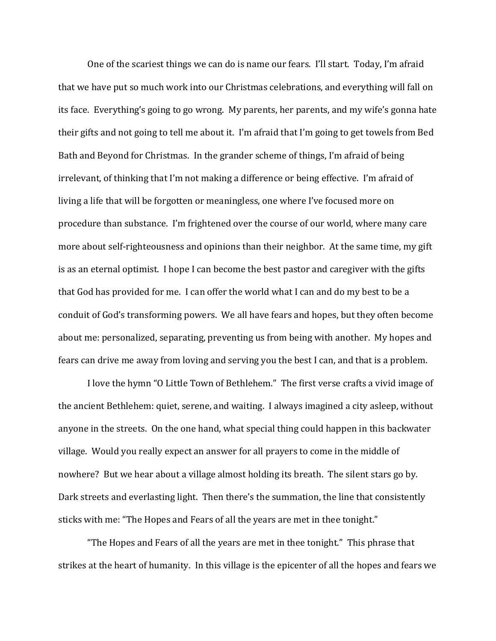One of the scariest things we can do is name our fears. I'll start. Today, I'm afraid that we have put so much work into our Christmas celebrations, and everything will fall on its face. Everything's going to go wrong. My parents, her parents, and my wife's gonna hate their gifts and not going to tell me about it. I'm afraid that I'm going to get towels from Bed Bath and Beyond for Christmas. In the grander scheme of things, I'm afraid of being irrelevant, of thinking that I'm not making a difference or being effective. I'm afraid of living a life that will be forgotten or meaningless, one where I've focused more on procedure than substance. I'm frightened over the course of our world, where many care more about self-righteousness and opinions than their neighbor. At the same time, my gift is as an eternal optimist. I hope I can become the best pastor and caregiver with the gifts that God has provided for me. I can offer the world what I can and do my best to be a conduit of God's transforming powers. We all have fears and hopes, but they often become about me: personalized, separating, preventing us from being with another. My hopes and fears can drive me away from loving and serving you the best I can, and that is a problem.

 I love the hymn "O Little Town of Bethlehem." The first verse crafts a vivid image of the ancient Bethlehem: quiet, serene, and waiting. I always imagined a city asleep, without anyone in the streets. On the one hand, what special thing could happen in this backwater village. Would you really expect an answer for all prayers to come in the middle of nowhere? But we hear about a village almost holding its breath. The silent stars go by. Dark streets and everlasting light. Then there's the summation, the line that consistently sticks with me: "The Hopes and Fears of all the years are met in thee tonight."

"The Hopes and Fears of all the years are met in thee tonight." This phrase that strikes at the heart of humanity. In this village is the epicenter of all the hopes and fears we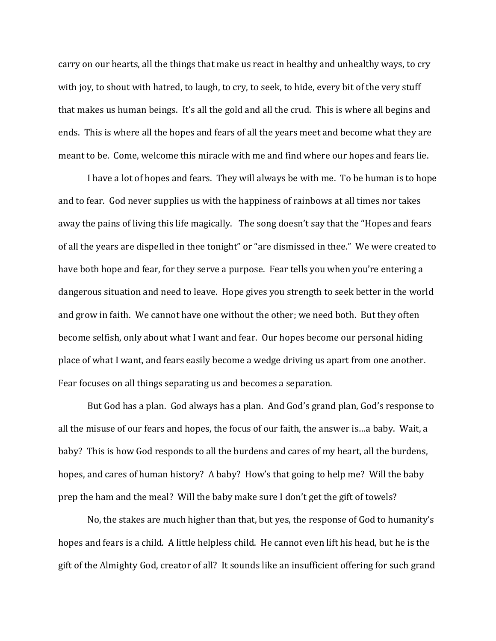carry on our hearts, all the things that make us react in healthy and unhealthy ways, to cry with joy, to shout with hatred, to laugh, to cry, to seek, to hide, every bit of the very stuff that makes us human beings. It's all the gold and all the crud. This is where all begins and ends. This is where all the hopes and fears of all the years meet and become what they are meant to be. Come, welcome this miracle with me and find where our hopes and fears lie.

I have a lot of hopes and fears. They will always be with me. To be human is to hope and to fear. God never supplies us with the happiness of rainbows at all times nor takes away the pains of living this life magically. The song doesn't say that the "Hopes and fears of all the years are dispelled in thee tonight" or "are dismissed in thee." We were created to have both hope and fear, for they serve a purpose. Fear tells you when you're entering a dangerous situation and need to leave. Hope gives you strength to seek better in the world and grow in faith. We cannot have one without the other; we need both. But they often become selfish, only about what I want and fear. Our hopes become our personal hiding place of what I want, and fears easily become a wedge driving us apart from one another. Fear focuses on all things separating us and becomes a separation.

But God has a plan. God always has a plan. And God's grand plan, God's response to all the misuse of our fears and hopes, the focus of our faith, the answer is…a baby. Wait, a baby? This is how God responds to all the burdens and cares of my heart, all the burdens, hopes, and cares of human history? A baby? How's that going to help me? Will the baby prep the ham and the meal? Will the baby make sure I don't get the gift of towels?

No, the stakes are much higher than that, but yes, the response of God to humanity's hopes and fears is a child. A little helpless child. He cannot even lift his head, but he is the gift of the Almighty God, creator of all? It sounds like an insufficient offering for such grand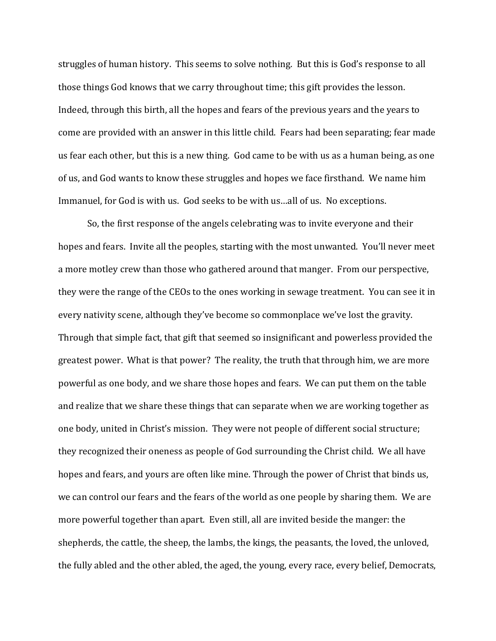struggles of human history. This seems to solve nothing. But this is God's response to all those things God knows that we carry throughout time; this gift provides the lesson. Indeed, through this birth, all the hopes and fears of the previous years and the years to come are provided with an answer in this little child. Fears had been separating; fear made us fear each other, but this is a new thing. God came to be with us as a human being, as one of us, and God wants to know these struggles and hopes we face firsthand. We name him Immanuel, for God is with us. God seeks to be with us…all of us. No exceptions.

So, the first response of the angels celebrating was to invite everyone and their hopes and fears. Invite all the peoples, starting with the most unwanted. You'll never meet a more motley crew than those who gathered around that manger. From our perspective, they were the range of the CEOs to the ones working in sewage treatment. You can see it in every nativity scene, although they've become so commonplace we've lost the gravity. Through that simple fact, that gift that seemed so insignificant and powerless provided the greatest power. What is that power? The reality, the truth that through him, we are more powerful as one body, and we share those hopes and fears. We can put them on the table and realize that we share these things that can separate when we are working together as one body, united in Christ's mission. They were not people of different social structure; they recognized their oneness as people of God surrounding the Christ child. We all have hopes and fears, and yours are often like mine. Through the power of Christ that binds us, we can control our fears and the fears of the world as one people by sharing them. We are more powerful together than apart. Even still, all are invited beside the manger: the shepherds, the cattle, the sheep, the lambs, the kings, the peasants, the loved, the unloved, the fully abled and the other abled, the aged, the young, every race, every belief, Democrats,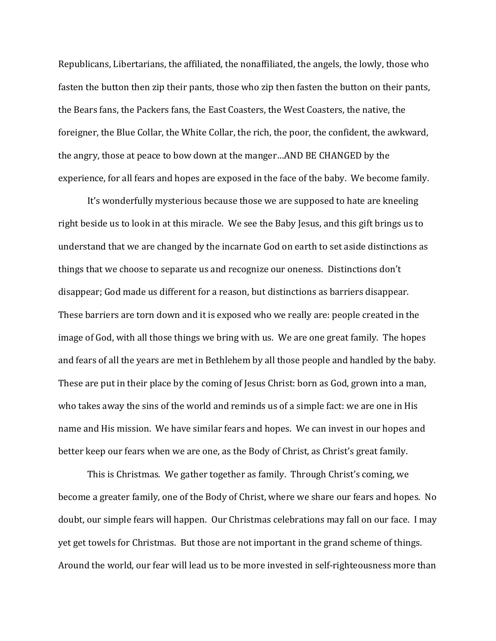Republicans, Libertarians, the affiliated, the nonaffiliated, the angels, the lowly, those who fasten the button then zip their pants, those who zip then fasten the button on their pants, the Bears fans, the Packers fans, the East Coasters, the West Coasters, the native, the foreigner, the Blue Collar, the White Collar, the rich, the poor, the confident, the awkward, the angry, those at peace to bow down at the manger…AND BE CHANGED by the experience, for all fears and hopes are exposed in the face of the baby. We become family.

It's wonderfully mysterious because those we are supposed to hate are kneeling right beside us to look in at this miracle. We see the Baby Jesus, and this gift brings us to understand that we are changed by the incarnate God on earth to set aside distinctions as things that we choose to separate us and recognize our oneness. Distinctions don't disappear; God made us different for a reason, but distinctions as barriers disappear. These barriers are torn down and it is exposed who we really are: people created in the image of God, with all those things we bring with us. We are one great family. The hopes and fears of all the years are met in Bethlehem by all those people and handled by the baby. These are put in their place by the coming of Jesus Christ: born as God, grown into a man, who takes away the sins of the world and reminds us of a simple fact: we are one in His name and His mission. We have similar fears and hopes. We can invest in our hopes and better keep our fears when we are one, as the Body of Christ, as Christ's great family.

 This is Christmas. We gather together as family. Through Christ's coming, we become a greater family, one of the Body of Christ, where we share our fears and hopes. No doubt, our simple fears will happen. Our Christmas celebrations may fall on our face. I may yet get towels for Christmas. But those are not important in the grand scheme of things. Around the world, our fear will lead us to be more invested in self-righteousness more than